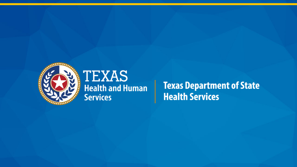

## **TEXAS Health and Human Services**

**Texas Department of State Health Services**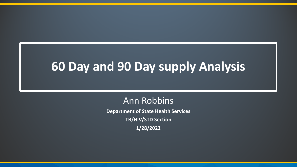# **60 Day and 90 Day supply Analysis**

## Ann Robbins

**Department of State Health Services TB/HIV/STD Section 1/28/2022**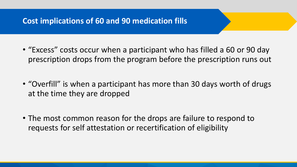### **Cost implications of 60 and 90 medication fills**

- "Excess" costs occur when a participant who has filled a 60 or 90 day prescription drops from the program before the prescription runs out
- "Overfill" is when a participant has more than 30 days worth of drugs at the time they are dropped
- The most common reason for the drops are failure to respond to requests for self attestation or recertification of eligibility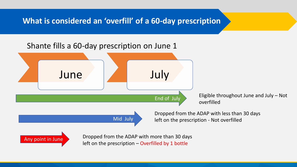**What is considered an 'overfill' of a 60-day prescription**

#### Shante fills a 60-day prescription on June 1

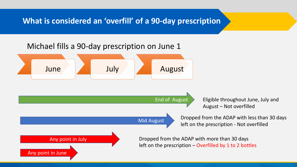**What is considered an 'overfill' of a 90-day prescription**

#### Michael fills a 90-day prescription on June 1

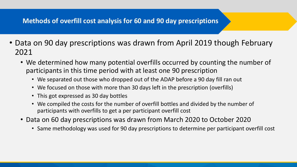#### **Methods of overfill cost analysis for 60 and 90 day prescriptions**

- Data on 90 day prescriptions was drawn from April 2019 though February 2021
	- We determined how many potential overfills occurred by counting the number of participants in this time period with at least one 90 prescription
		- We separated out those who dropped out of the ADAP before a 90 day fill ran out
		- We focused on those with more than 30 days left in the prescription (overfills)
		- This got expressed as 30 day bottles
		- We compiled the costs for the number of overfill bottles and divided by the number of participants with overfills to get a per participant overfill cost
	- Data on 60 day prescriptions was drawn from March 2020 to October 2020
		- Same methodology was used for 90 day prescriptions to determine per participant overfill cost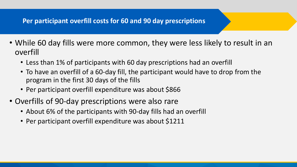#### **Per participant overfill costs for 60 and 90 day prescriptions**

- While 60 day fills were more common, they were less likely to result in an overfill
	- Less than 1% of participants with 60 day prescriptions had an overfill
	- To have an overfill of a 60-day fill, the participant would have to drop from the program in the first 30 days of the fills
	- Per participant overfill expenditure was about \$866
- Overfills of 90-day prescriptions were also rare
	- About 6% of the participants with 90-day fills had an overfill
	- Per participant overfill expenditure was about \$1211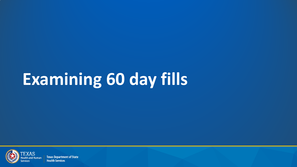# **Examining 60 day fills**



**Texas Department of State Health Services**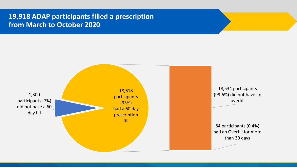#### **19,918 ADAP participants filled a prescription from March to October 2020**

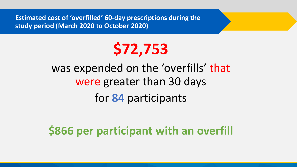**Estimated cost of 'overfilled' 60-day prescriptions during the study period (March 2020 to October 2020)**



## was expended on the 'overfills' that were greater than 30 days for **84** participants

## **\$866 per participant with an overfill**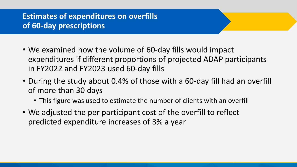## **Estimates of expenditures on overfills of 60-day prescriptions**

- We examined how the volume of 60-day fills would impact expenditures if different proportions of projected ADAP participants in FY2022 and FY2023 used 60-day fills
- During the study about 0.4% of those with a 60-day fill had an overfill of more than 30 days
	- This figure was used to estimate the number of clients with an overfill
- We adjusted the per participant cost of the overfill to reflect predicted expenditure increases of 3% a year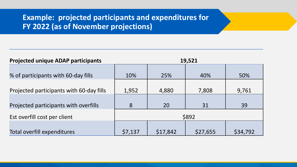### **Example: projected participants and expenditures for FY 2022 (as of November projections)**

| <b>Projected unique ADAP participants</b> | 19,521  |          |          |          |  |  |
|-------------------------------------------|---------|----------|----------|----------|--|--|
| % of participants with 60-day fills       | 10%     | 25%      | 40%      | 50%      |  |  |
| Projected participants with 60-day fills  | 1,952   | 4,880    | 7,808    | 9,761    |  |  |
| Projected participants with overfills     | 8       | 20       | 31       | 39       |  |  |
| Est overfill cost per client              | \$892   |          |          |          |  |  |
| Total overfill expenditures               | \$7,137 | \$17,842 | \$27,655 | \$34,792 |  |  |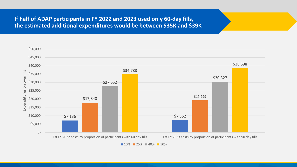#### **If half of ADAP participants in FY 2022 and 2023 used only 60-day fills, the estimated additional expenditures would be between \$35K and \$39K**

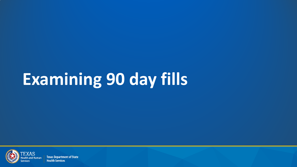# **Examining 90 day fills**



**Texas Department of State Health Services**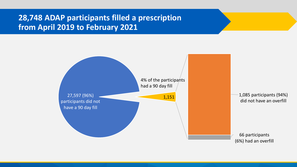### **28,748 ADAP participants filled a prescription from April 2019 to February 2021**

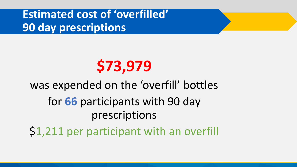**Estimated cost of 'overfilled' 90 day prescriptions**

# **\$73,979**

# was expended on the 'overfill' bottles for **66** participants with 90 day prescriptions \$1,211 per participant with an overfill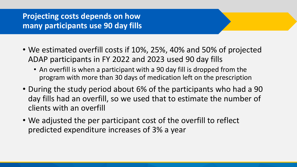### **Projecting costs depends on how many participants use 90 day fills**

- We estimated overfill costs if 10%, 25%, 40% and 50% of projected ADAP participants in FY 2022 and 2023 used 90 day fills
	- An overfill is when a participant with a 90 day fill is dropped from the program with more than 30 days of medication left on the prescription
- During the study period about 6% of the participants who had a 90 day fills had an overfill, so we used that to estimate the number of clients with an overfill
- We adjusted the per participant cost of the overfill to reflect predicted expenditure increases of 3% a year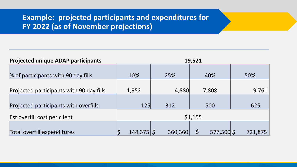### **Example: projected participants and expenditures for FY 2022 (as of November projections)**

| <b>Projected unique ADAP participants</b> | 19,521        |         |            |         |  |  |
|-------------------------------------------|---------------|---------|------------|---------|--|--|
| % of participants with 90 day fills       | 10%           | 25%     | 40%        | 50%     |  |  |
| Projected participants with 90 day fills  | 1,952         | 4,880   | 7,808      | 9,761   |  |  |
| Projected participants with overfills     | <b>125</b>    | 312     | 500        | 625     |  |  |
| Est overfill cost per client              | \$1,155       |         |            |         |  |  |
| Total overfill expenditures               | $144,375$  \$ | 360,360 | 577,500 \$ | 721,875 |  |  |